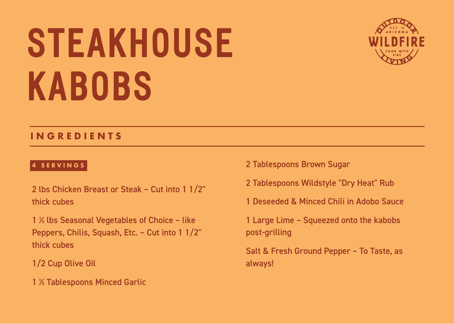# **STEAKHOUSE KABOBS**



#### **INGREDIENTS**

#### **4 SERVINGS**

- 2 lbs Chicken Breast or Steak Cut into 1 1/2" thick cubes
- 1 ½ lbs Seasonal Vegetables of Choice like Peppers, Chilis, Squash, Etc. – Cut into 1 1/2" thick cubes
- 1/2 Cup Olive Oil
- 1 ½ Tablespoons Minced Garlic
- 2 Tablespoons Brown Sugar
- 2 Tablespoons Wildstyle "Dry Heat" Rub
- 1 Deseeded & Minced Chili in Adobo Sauce
- 1 Large Lime Squeezed onto the kabobs post-grilling
- Salt & Fresh Ground Pepper To Taste, as always!